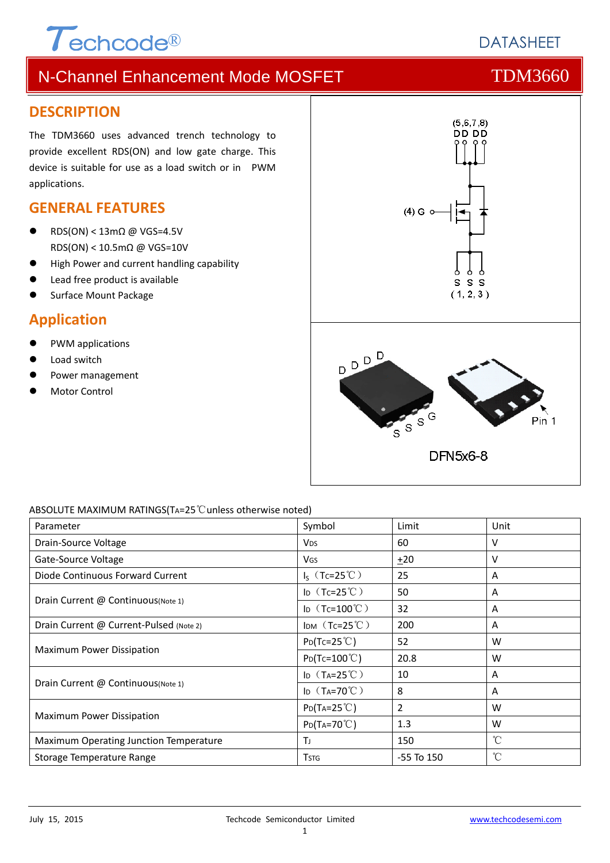# $\tau$ echcode®

# **DATASHEFT**

# N-Channel Enhancement Mode MOSFET THE TDM3660

#### **DESCRIPTION**

The TDM3660 uses advanced trench technology to provide excellent RDS(ON) and low gate charge. This device is suitable for use as a load switch or in PWM applications.

#### **GENERAL FEATURES**

- RDS(ON) < 13mΩ @ VGS=4.5V RDS(ON) < 10.5mΩ @ VGS=10V
- High Power and current handling capability
- Lead free product is available
- Surface Mount Package

#### **Application**

- PWM applications
- Load switch
- Power management
- Motor Control



#### ABSOLUTE MAXIMUM RATINGS(TA=25℃unless otherwise noted)

| Parameter                               | Symbol                        | Limit          | Unit         |
|-----------------------------------------|-------------------------------|----------------|--------------|
| Drain-Source Voltage                    | <b>V<sub>DS</sub></b>         | 60             | v            |
| Gate-Source Voltage                     | <b>V<sub>GS</sub></b>         | $+20$          | v            |
| Diode Continuous Forward Current        | $I_S$ (Tc=25°C)               | 25             | A            |
| Drain Current @ Continuous(Note 1)      | ID $(Tc=25^{\circ}C)$         | 50             | A            |
|                                         | ID $(Tc=100^{\circ}C)$        | 32             | A            |
| Drain Current @ Current-Pulsed (Note 2) | IDM $(Tc=25^{\circ}C)$        | 200            | A            |
| Maximum Power Dissipation               | $P_{D}(Tc=25^{\circ}C)$       | 52             | W            |
|                                         | $P_{D}(Tc=100^{\circ}C)$      | 20.8           | W            |
| Drain Current @ Continuous (Note 1)     | ID $(T_A=25^{\circ}\text{C})$ | 10             | Α            |
|                                         | ID $(T_A=70^{\circ}C)$        | 8              | A            |
| Maximum Power Dissipation               | $P_{D}(Ta=25^{\circ}C)$       | $\overline{2}$ | W            |
|                                         | $P_{D}(Ta=70^{\circ}C)$       | 1.3            | W            |
| Maximum Operating Junction Temperature  | Tı                            | 150            | °C           |
| Storage Temperature Range               | <b>T</b> stg                  | $-55$ To $150$ | $^{\circ}$ C |

#### 1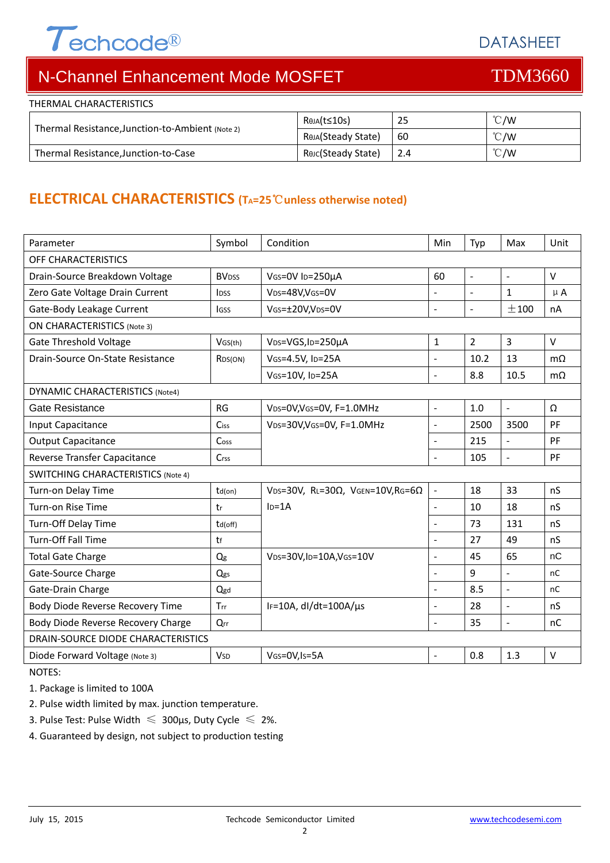# $\tau$ echcode®

DATASHEET

# N-Channel Enhancement Mode MOSFET THE TDM3660

| THERMAL CHARACTERISTICS                          |                    |      |               |
|--------------------------------------------------|--------------------|------|---------------|
| Thermal Resistance, Junction-to-Ambient (Note 2) | RθJA(t≤10s)        | -25  | $\degree$ C/W |
|                                                  | Reja(Steady State) | 60   | $\degree$ C/W |
| Thermal Resistance, Junction-to-Case             | Reic(Steady State) | -2.4 | $\degree$ C/W |

### **ELECTRICAL CHARACTERISTICS (TA=25**℃**unless otherwise noted)**

| Symbol                                    | Condition                                         | Min                      | Typ                      | Max                 | Unit      |  |  |  |
|-------------------------------------------|---------------------------------------------------|--------------------------|--------------------------|---------------------|-----------|--|--|--|
| <b>OFF CHARACTERISTICS</b>                |                                                   |                          |                          |                     |           |  |  |  |
| <b>BVDSS</b>                              | VGS=0V ID=250µA                                   | 60                       | $\overline{\phantom{a}}$ | $\blacksquare$      | V         |  |  |  |
| IDSS                                      | VDS=48V, VGS=0V                                   | $\overline{a}$           |                          | $\mathbf{1}$        | $\mu$ A   |  |  |  |
| <b>IGSS</b>                               | VGs=±20V,VDs=0V                                   | ٠                        | $\sim$                   | ±100                | nA        |  |  |  |
| <b>ON CHARACTERISTICS (Note 3)</b>        |                                                   |                          |                          |                     |           |  |  |  |
| VGS(th)                                   | V <sub>DS</sub> =VGS, I <sub>D</sub> =250µA       | 1                        | $\overline{2}$           | 3                   | $\vee$    |  |  |  |
| RDS(ON)                                   | VGS=4.5V, ID=25A                                  | $\blacksquare$           | 10.2                     | 13                  | $m\Omega$ |  |  |  |
|                                           | VGS=10V, ID=25A                                   | $\overline{\phantom{0}}$ | 8.8                      | 10.5                | $m\Omega$ |  |  |  |
| DYNAMIC CHARACTERISTICS (Note4)           |                                                   |                          |                          |                     |           |  |  |  |
| <b>RG</b>                                 | VDS=0V, VGS=0V, F=1.0MHz                          | $\blacksquare$           | 1.0                      | $\mathbf{r}$        | Ω         |  |  |  |
| Ciss                                      | VDS=30V, VGS=0V, F=1.0MHz                         | ÷,                       | 2500                     | 3500                | PF        |  |  |  |
| Coss                                      |                                                   | $\blacksquare$           | 215                      | $\bar{\mathcal{L}}$ | PF        |  |  |  |
| Crss                                      |                                                   | $\overline{a}$           | 105                      | $\omega$            | PF        |  |  |  |
| <b>SWITCHING CHARACTERISTICS (Note 4)</b> |                                                   |                          |                          |                     |           |  |  |  |
| $td($ on $)$                              | VDS=30V, RL=30 $\Omega$ , VGEN=10V, RG=6 $\Omega$ | $\blacksquare$           | 18                       | 33                  | nS        |  |  |  |
| tr                                        | $ID=1A$                                           | L.                       | 10                       | 18                  | nS        |  |  |  |
| td(off)                                   |                                                   | ÷,                       | 73                       | 131                 | nS        |  |  |  |
| tf                                        |                                                   | $\blacksquare$           | 27                       | 49                  | nS        |  |  |  |
| Q <sub>g</sub>                            | VDS=30V,ID=10A,VGS=10V                            | $\blacksquare$           | 45                       | 65                  | nC        |  |  |  |
| Qgs                                       |                                                   | $\overline{\phantom{0}}$ | 9                        | $\blacksquare$      | nC        |  |  |  |
| Qgd                                       |                                                   | ÷,                       | 8.5                      | $\blacksquare$      | nC        |  |  |  |
| Trr                                       | IF=10A, dl/dt=100A/µs                             | ÷.                       | 28                       | $\sim$              | nS        |  |  |  |
| Qrr                                       |                                                   | ÷,                       | 35                       | $\bar{\mathcal{L}}$ | nC        |  |  |  |
| DRAIN-SOURCE DIODE CHARACTERISTICS        |                                                   |                          |                          |                     |           |  |  |  |
| <b>V<sub>SD</sub></b>                     | VGS=0V, Is=5A                                     | $\blacksquare$           | 0.8                      | 1.3                 | $\vee$    |  |  |  |
|                                           |                                                   |                          |                          |                     |           |  |  |  |

NOTES:

1. Package is limited to 100A

2. Pulse width limited by max. junction temperature.

- 3. Pulse Test: Pulse Width  $\leq 300$ μs, Duty Cycle  $\leq 2\%$ .
- 4. Guaranteed by design, not subject to production testing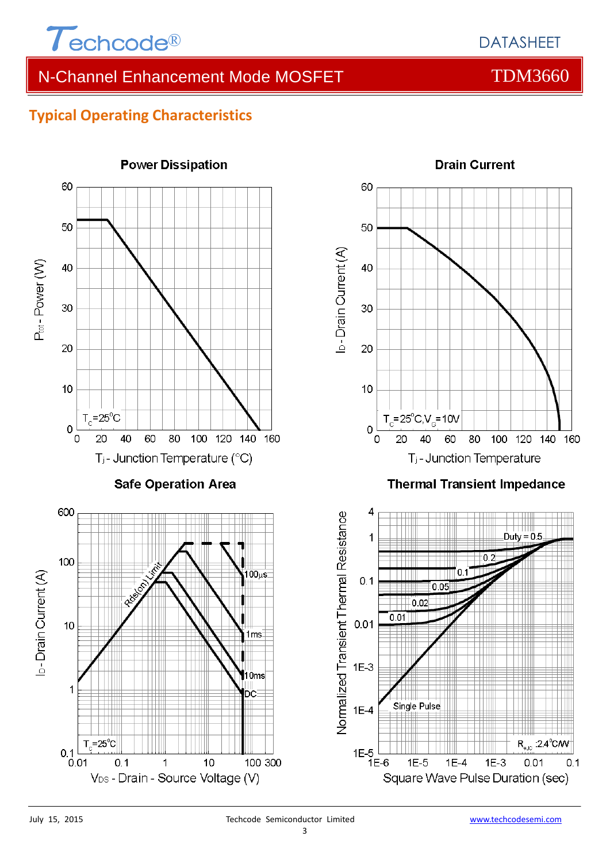

### N-Channel Enhancement Mode MOSFET THE TDM3660

#### **Typical Operating Characteristics**



#### 3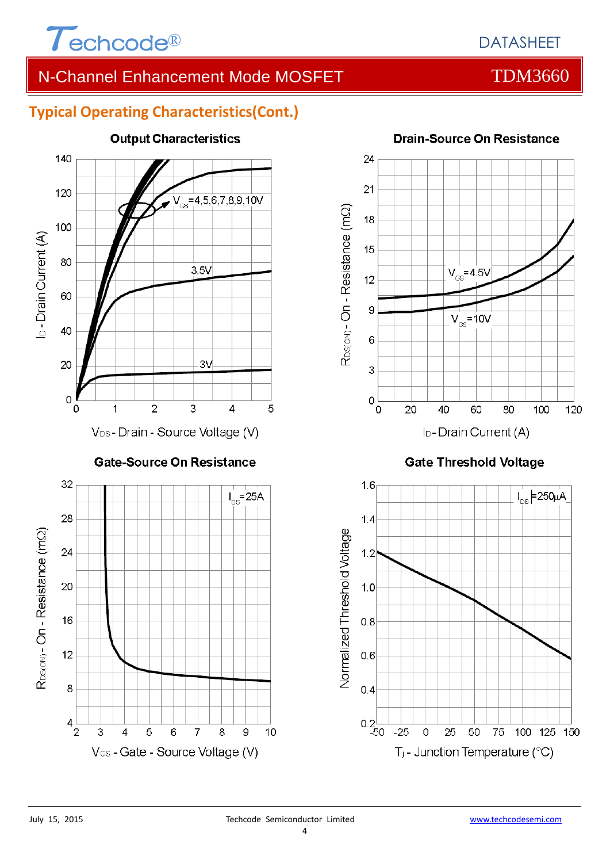

### DATASHEET

### N-Channel Enhancement Mode MOSFET THE TDM3660

#### **Typical Operating Characteristics(Cont.)**



#### **Output Characteristics**

**Drain-Source On Resistance** 



#### **Gate Threshold Voltage**

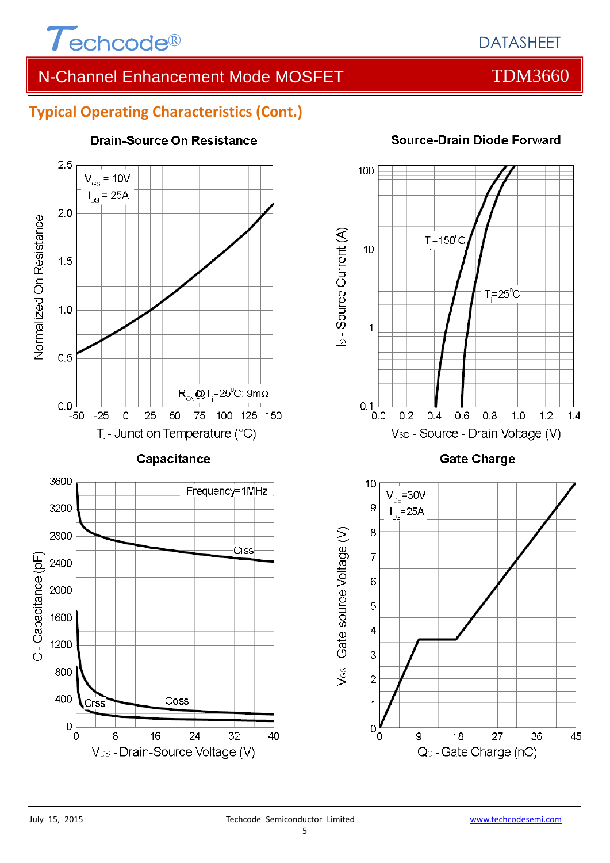

## N-Channel Enhancement Mode MOSFET THE TDM3660

# **Typical Operating Characteristics (Cont.)**



#### **Drain-Source On Resistance**

#### **Source-Drain Diode Forward**





 $\overline{1}$ 

 $\mathbf 0$ 

V<sub>os</sub>-Gate-source Voltage (V)



Q<sub>G</sub> - Gate Charge (nC)

45

#### 5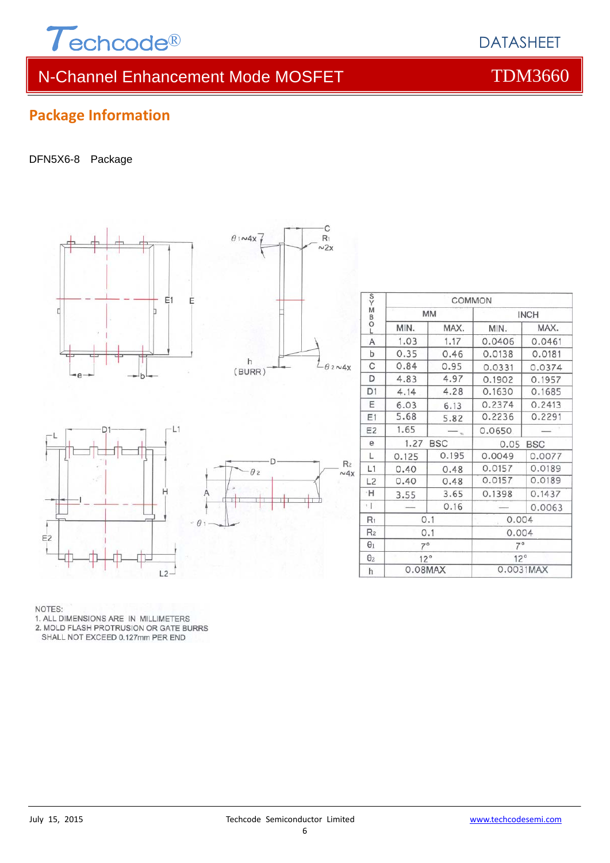

# N-Channel Enhancement Mode MOSFET TOM3660

#### **Package Information**

#### DFN5X6-8 Package



NOTES:

1. ALL DIMENSIONS ARE IN MILLIMETERS

 $L2$ 

2. MOLD FLASH PROTRUSION OR GATE BURRS

SHALL NOT EXCEED 0.127mm PER END

0.0031MAX

 $0.08$ MAX

 $\boldsymbol{\mathsf{h}}$ 

# **DATASHEET**